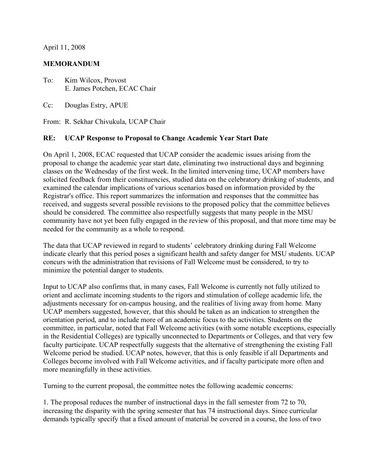April 11, 2008

## **MEMORANDUM**

- To: Kim Wilcox, Provost E. James Potchen, ECAC Chair
- Cc: Douglas Estry, APUE

From: R. Sekhar Chivukula, UCAP Chair

## **RE: UCAP Response to Proposal to Change Academic Year Start Date**

On April 1, 2008, ECAC requested that UCAP consider the academic issues arising from the proposal to change the academic year start date, eliminating two instructional days and beginning classes on the Wednesday of the first week. In the limited intervening time, UCAP members have solicited feedback from their constituencies, studied data on the celebratory drinking of students, and examined the calendar implications of various scenarios based on information provided by the Registrar's office. This report summarizes the information and responses that the committee has received, and suggests several possible revisions to the proposed policy that the committee believes should be considered. The committee also respectfully suggests that many people in the MSU community have not yet been fully engaged in the review of this proposal, and that more time may be needed for the community as a whole to respond.

The data that UCAP reviewed in regard to students' celebratory drinking during Fall Welcome indicate clearly that this period poses a significant health and safety danger for MSU students. UCAP concurs with the administration that revisions of Fall Welcome must be considered, to try to minimize the potential danger to students.

Input to UCAP also confirms that, in many cases, Fall Welcome is currently not fully utilized to orient and acclimate incoming students to the rigors and stimulation of college academic life, the adjustments necessary for on-campus housing, and the realities of living away from home. Many UCAP members suggested, however, that this should be taken as an indication to strengthen the orientation period, and to include more of an academic focus to the activities. Students on the committee, in particular, noted that Fall Welcome activities (with some notable exceptions, especially in the Residential Colleges) are typically unconnected to Departments or Colleges, and that very few faculty participate. UCAP respectfully suggests that the alternative of strengthening the existing Fall Welcome period be studied. UCAP notes, however, that this is only feasible if all Departments and Colleges become involved with Fall Welcome activities, and if faculty participate more often and more meaningfully in these activities.

Turning to the current proposal, the committee notes the following academic concerns:

1. The proposal reduces the number of instructional days in the fall semester from 72 to 70, increasing the disparity with the spring semester that has 74 instructional days. Since curricular demands typically specify that a fixed amount of material be covered in a course, the loss of two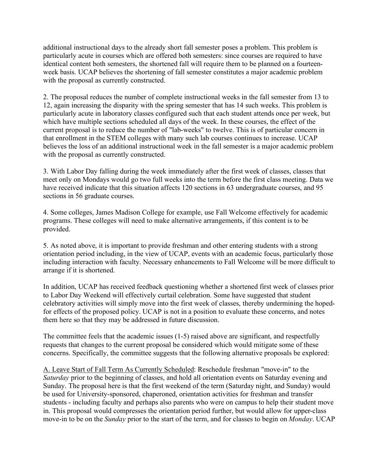additional instructional days to the already short fall semester poses a problem. This problem is particularly acute in courses which are offered both semesters: since courses are required to have identical content both semesters, the shortened fall will require them to be planned on a fourteenweek basis. UCAP believes the shortening of fall semester constitutes a major academic problem with the proposal as currently constructed.

2. The proposal reduces the number of complete instructional weeks in the fall semester from 13 to 12, again increasing the disparity with the spring semester that has 14 such weeks. This problem is particularly acute in laboratory classes configured such that each student attends once per week, but which have multiple sections scheduled all days of the week. In these courses, the effect of the current proposal is to reduce the number of "lab-weeks" to twelve. This is of particular concern in that enrollment in the STEM colleges with many such lab courses continues to increase. UCAP believes the loss of an additional instructional week in the fall semester is a major academic problem with the proposal as currently constructed.

3. With Labor Day falling during the week immediately after the first week of classes, classes that meet only on Mondays would go two full weeks into the term before the first class meeting. Data we have received indicate that this situation affects 120 sections in 63 undergraduate courses, and 95 sections in 56 graduate courses.

4. Some colleges, James Madison College for example, use Fall Welcome effectively for academic programs. These colleges will need to make alternative arrangements, if this content is to be provided.

5. As noted above, it is important to provide freshman and other entering students with a strong orientation period including, in the view of UCAP, events with an academic focus, particularly those including interaction with faculty. Necessary enhancements to Fall Welcome will be more difficult to arrange if it is shortened.

In addition, UCAP has received feedback questioning whether a shortened first week of classes prior to Labor Day Weekend will effectively curtail celebration. Some have suggested that student celebratory activities will simply move into the first week of classes, thereby undermining the hopedfor effects of the proposed policy. UCAP is not in a position to evaluate these concerns, and notes them here so that they may be addressed in future discussion.

The committee feels that the academic issues (1-5) raised above are significant, and respectfully requests that changes to the current proposal be considered which would mitigate some of these concerns. Specifically, the committee suggests that the following alternative proposals be explored:

A. Leave Start of Fall Term As Currently Scheduled: Reschedule freshman "move-in" to the *Saturday* prior to the beginning of classes, and hold all orientation events on Saturday evening and Sunday. The proposal here is that the first weekend of the term (Saturday night, and Sunday) would be used for University-sponsored, chaperoned, orientation activities for freshman and transfer students - including faculty and perhaps also parents who were on campus to help their student move in. This proposal would compresses the orientation period further, but would allow for upper-class move-in to be on the *Sunday* prior to the start of the term, and for classes to begin on *Monday*. UCAP